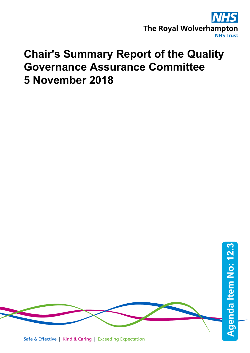

## **Chair's Summary Report of the Quality Governance Assurance Committee 5 November 2018**

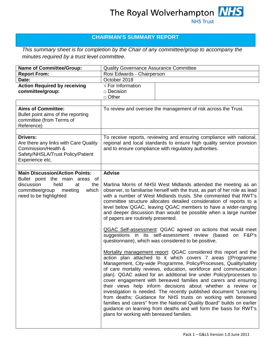## **CHAIRMAN'S SUMMARY REPORT**

*This summary sheet is for completion by the Chair of any committee/group to accompany the minutes required by a trust level committee.*

| <b>Name of Committee/Group:</b>                                                                                                         | <b>Quality Governance Assurance Committee</b>                                                                                                                                                                                                                                                                                                                                                                                                                                                                                                                                                                                                                                                                                                                                                                                                                                                                                                                                                                                                                                                                                                                                                                                                                                                                                                                                                                                                                                         |                                                                |
|-----------------------------------------------------------------------------------------------------------------------------------------|---------------------------------------------------------------------------------------------------------------------------------------------------------------------------------------------------------------------------------------------------------------------------------------------------------------------------------------------------------------------------------------------------------------------------------------------------------------------------------------------------------------------------------------------------------------------------------------------------------------------------------------------------------------------------------------------------------------------------------------------------------------------------------------------------------------------------------------------------------------------------------------------------------------------------------------------------------------------------------------------------------------------------------------------------------------------------------------------------------------------------------------------------------------------------------------------------------------------------------------------------------------------------------------------------------------------------------------------------------------------------------------------------------------------------------------------------------------------------------------|----------------------------------------------------------------|
| <b>Report From:</b>                                                                                                                     | Rosi Edwards - Chairperson                                                                                                                                                                                                                                                                                                                                                                                                                                                                                                                                                                                                                                                                                                                                                                                                                                                                                                                                                                                                                                                                                                                                                                                                                                                                                                                                                                                                                                                            |                                                                |
| Date:                                                                                                                                   | October 2018                                                                                                                                                                                                                                                                                                                                                                                                                                                                                                                                                                                                                                                                                                                                                                                                                                                                                                                                                                                                                                                                                                                                                                                                                                                                                                                                                                                                                                                                          |                                                                |
| <b>Action Required by receiving</b><br>committee/group:                                                                                 | $\sqrt{\ }$ For Information<br>$\Box$ Decision<br>$\Box$ Other                                                                                                                                                                                                                                                                                                                                                                                                                                                                                                                                                                                                                                                                                                                                                                                                                                                                                                                                                                                                                                                                                                                                                                                                                                                                                                                                                                                                                        |                                                                |
|                                                                                                                                         |                                                                                                                                                                                                                                                                                                                                                                                                                                                                                                                                                                                                                                                                                                                                                                                                                                                                                                                                                                                                                                                                                                                                                                                                                                                                                                                                                                                                                                                                                       |                                                                |
| <b>Aims of Committee:</b><br>Bullet point aims of the reporting<br>committee (from Terms of<br>Reference)                               |                                                                                                                                                                                                                                                                                                                                                                                                                                                                                                                                                                                                                                                                                                                                                                                                                                                                                                                                                                                                                                                                                                                                                                                                                                                                                                                                                                                                                                                                                       | To review and oversee the management of risk across the Trust. |
| <b>Drivers:</b><br>Are there any links with Care Quality<br>Commission/Health &<br>Safety/NHSLA/Trust Policy/Patient<br>Experience etc. | To receive reports, reviewing and ensuring compliance with national,<br>regional and local standards to ensure high quality service provision<br>and to ensure compliance with regulatory authorities.                                                                                                                                                                                                                                                                                                                                                                                                                                                                                                                                                                                                                                                                                                                                                                                                                                                                                                                                                                                                                                                                                                                                                                                                                                                                                |                                                                |
| <b>Main Discussion/Action Points:</b>                                                                                                   | <b>Advise</b>                                                                                                                                                                                                                                                                                                                                                                                                                                                                                                                                                                                                                                                                                                                                                                                                                                                                                                                                                                                                                                                                                                                                                                                                                                                                                                                                                                                                                                                                         |                                                                |
| Bullet point the main areas of<br>discussion<br>held<br>the<br>at<br>committee/group<br>meeting<br>which<br>need to be highlighted      | Martina Morris of NHSI West Midlands attended the meeting as an<br>observer, to familiarise herself with the trust, as part of her role as lead<br>with a number of West Midlands trusts. She commented that RWT's<br>committee structure allocates detailed consideration of reports to a<br>level below QGAC, leaving QGAC members to have a wider-ranging<br>and deeper discussion than would be possible when a large number<br>of papers are routinely presented.<br>QGAC Self-assessment: QGAC agreed on actions that would meet<br>suggestions in its self-assessment review (based on F&P's<br>questionnaire), which was considered to be positive.<br>Mortality management report: QGAC considered this report and the<br>action plan attached to it which covers 7 areas ((Programme<br>Management, City-wide Programme, Policy/Processes, Quality/safety<br>of care mortality reviews, education, workforce and communication<br>plan). QGAC asked for an additional line under Policy/processes to<br>cover engagement with bereaved families and carers and ensuring<br>their views help inform decisions about whether a review or<br>investigation is needed. The recently published document "Learning<br>from deaths: Guidance for NHS trusts on working with bereaved<br>families and carers" from the National Quality Board" builds on earlier<br>guidance on learning from deaths and will form the basis for RWT's<br>plans for working with bereaved families. |                                                                |